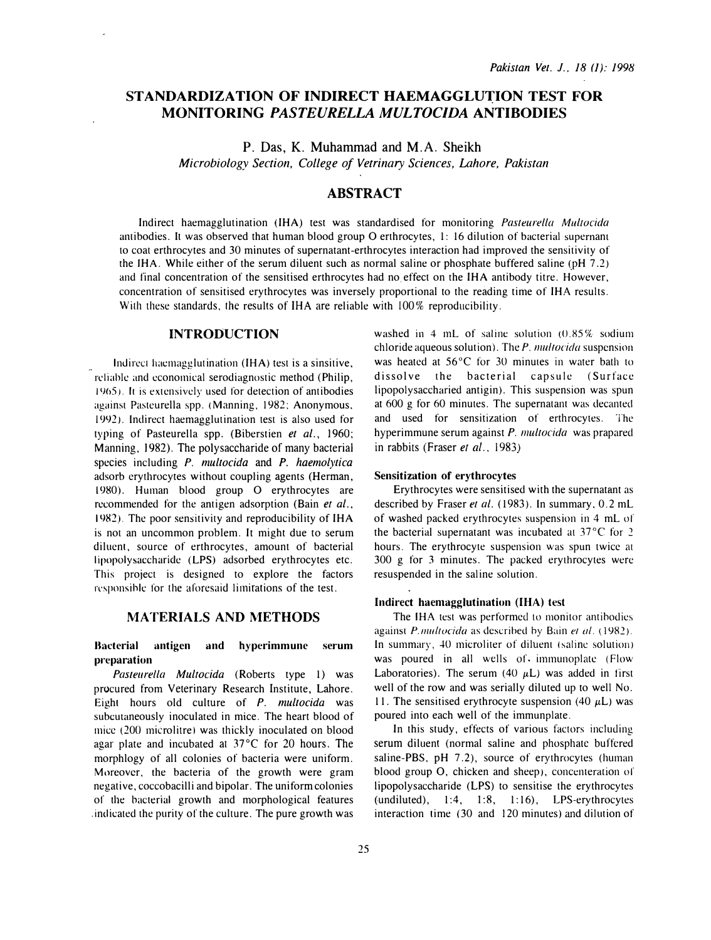# STANDARDIZATION OF INDIRECT HAEMAGGLUTION TEST FOR MONITORING PASTEURELLA MULTOCIDA ANTIBODIES

P. Das, K. Muhammad and M.A. Sheikh Microbiology Section, College of Vetrinary Sciences, Lahore, Pakistan

# ABSTRACT

Indirect haemagglutination (IHA) test was standardised for monitoring Pasteurella Multocida antibodies. It was observed that human blood group O erthrocytes, 1: 16 dilution of bacterial supernant to coat erthrocytes and 30 minutes of supernatant-erthrocytes interaction had improved the sensitivity of the IHA. While either of the serum diluent such as normal saline or phosphate buffered saline (pH 7 .2) and final concentration of the sensitised erthrocytes had no effect on the IHA antibody titre. However, concentration of sensitised erythrocytes was inversely proportional to the reading time of IHA results. With these standards, the results of IHA are reliable with 100% reproducibility.

### INTRODUCTION

Indirect haemagglutination (IHA) test is a sinsitive, reliable and economical serodiagnostic method (Philip, 1965). It is extensively used for detection of antibodies against Pasteurella spp. (Manning, 1982: Anonymous. 1992). Indirect haemagglutination test is also used for typing of Pasteurella spp. (Biberstien et al., 1960; Manning, 1982). The polysaccharide of many bacterial species including P. multocida and P. haemolytica adsorb erythrocytes without coupling agents (Herman, 1980). Human blood group O erythrocytes are recommended for the antigen adsorption (Bain et al., 1982). The poor sensitivity and reproducibility of IHA is not an uncommon problem. It might due to serum diluent, source of erthrocytes, amount of bacterial lipopolysaccharide (LPS) adsorbed erythrocytes etc. This project is designed to explore the factors responsible for the aforesaid limitations of the test.

## MATERIALS AND METHODS

### Hactcrial antigen and hyperimmunc serum preparation

Pasteurella Multocida (Roberts type 1) was procured from Veterinary Research Institute, Lahore. Eight hours old culture of P. multocida was subcutaneously inoculated in mice. The heart blood of mice (200 microlitre) was thickly inoculated on blood agar plate and incubated at 37°C for 20 hours. The morphlogy of all colonies of bacteria were uniform. Moreover, the bacteria of the growth were gram negative, coccobacilli and bipolar. The uniform colonies of the bacterial growth and morphological features . indicated the purity of the culture. The pure growth was

washed in 4 mL of saline solution  $(0.85\%$  sodium chloride aqueous solution). The  $P$ . multocida suspension was heated at 56°C for 30 minutes in water bath to dissolve the bacterial capsule (Surface lipopolysaccharied antigin). This suspension was spun at 600 g for 60 minutes. The supernatant was decanted and used for sensitization of erthrocytes. The hyperimmune serum against P. *multocida* was prapared in rabbits (Fraser et al., 1983)

#### Sensitization of erythrocytes

Erythrocytes were sensitised with the supernatant as described by Fraser et al. (1983). In summary, 0.2 mL of washed packed erythrocytes suspension in 4 mL of the bacterial supernatant was incubated at 37°C for 2 hours. The erythrocyte suspension was spun twice at 300 g for 3 minutes. The packed erythrocytes were resuspended in the saline solution.

#### Indirect haemagglutination (IHA) test

The IHA test was performed to monitor antibodies against *P.multocida* as described by Bain et al.  $(1982)$ . In summary, 40 microliter of diluent (saline solution) was poured in all wells of. immunoplate (Flow Laboratories). The serum (40  $\mu$ L) was added in first well of the row and was serially diluted up to well No. 11. The sensitised erythrocyte suspension (40  $\mu$ L) was poured into each well of the immunplate.

In this study, effects of various factors including serum diluent (normal saline and phosphate buffered saline-PBS, pH 7.2), source of erythrocytes (human blood group O, chicken and sheep), concenteration of lipopolysaccharide (LPS) to sensitise the erythrocytes  $(undiluted), 1:4, 1:8, 1:16), LPS-erythrocytes$ interaction time (30 and 120 minutes) and dilution of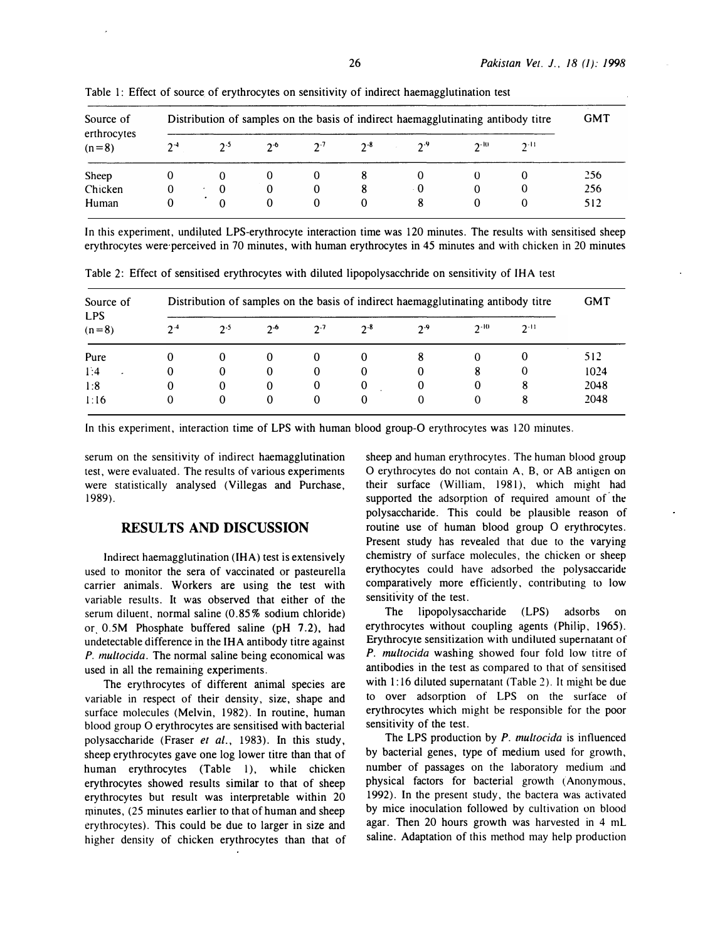| Source of<br>erthrocytes<br>$(n=8)$ | Distribution of samples on the basis of indirect haemagglutinating antibody titre |          |       |         |          |     |          |          |     |
|-------------------------------------|-----------------------------------------------------------------------------------|----------|-------|---------|----------|-----|----------|----------|-----|
|                                     | $2 - 4$                                                                           | $2-5$    | $2-6$ | $2 - 7$ | $2^{-8}$ | 2.9 | $2 - 10$ | $2 - 11$ |     |
| Sheep                               |                                                                                   |          |       | O       |          |     |          |          | 256 |
| Chicken                             | 0                                                                                 | 0        | 0     | O       |          | - 0 | 0        |          | 256 |
| Human                               |                                                                                   | $\Omega$ | 0     | 0       |          | 8   |          |          | 512 |

Table 1: Effect of source of erythrocytes on sensitivity of indirect haemagglutination test

In this experiment, undiluted LPS-erythrocyte interaction time was 120 minutes. The results with sensitised sheep erythrocytes were perceived in 70 minutes, with human erythrocytes in 45 minutes and with chicken in 20 minutes

| Source of<br><b>LPS</b><br>$(n=8)$ | Distribution of samples on the basis of indirect haemagglutinating antibody titre |          |              |              |          |         |          |          |      |  |
|------------------------------------|-----------------------------------------------------------------------------------|----------|--------------|--------------|----------|---------|----------|----------|------|--|
|                                    | $2 - 4$                                                                           | 2.5      | $2-6$        | $2 - 7$      | $2 - 8$  | $2 - 9$ | $2 - 10$ | $2 - 11$ |      |  |
| Pure                               | 0                                                                                 | $\bf{0}$ | $\theta$     | $\theta$     | $\theta$ | 8       |          |          | 512  |  |
| 1:4<br>$\ddot{\phantom{1}}$        | $\bf{0}$                                                                          | $\bf{0}$ | $\bf{0}$     | $\mathbf{0}$ | 0        | 0       | 8        |          | 1024 |  |
| 1:8                                | 0                                                                                 | 0        | $\bf{0}$     | 0            | 0        | 0       | 0        | 8        | 2048 |  |
| 1:16                               | 0                                                                                 | $\bf{0}$ | $\mathbf{0}$ | $\bf{0}$     | $\Omega$ | 0       | 0        | 8        | 2048 |  |

Table 2: Effect of sensitised erythrocytes with diluted lipopolysacchride on sensitivity of IHA test

In this experiment, interaction time of LPS with human blood group-O erythrocytes was 120 minutes.

serum on the sensitivity of indirect haemagglutination test, were evaluated. The results of various experiments were statistically analysed (Villegas and Purchase, 1989).

# RESULTS AND DISCUSSION

Indirect haemagglutination (IHA) test is extensively used to monitor the sera of vaccinated or pasteurella carrier animals. Workers are using the test with variable results. It was observed that either of the serum diluent, normal saline (0.85% sodium chloride) or 0.5M Phosphate buffered saline (pH 7.2), had undetectable difference in the IHA antibody titre against P. multocida. The normal saline being economical was used in all the remaining experiments.

The erythrocytes of different animal species are variable in respect of their density, size, shape and surface molecules (Melvin, 1982). In routine, human blood group 0 erythrocytes are sensitised with bacterial polysaccharide (Fraser et al., 1983). In this study, sheep erythrocytes gave one log lower titre than that of human erythrocytes (Table 1), while chicken erythrocytes showed results similar to that of sheep erythrocytes but result was interpretable within 20 minutes, (25 minutes earlier to that of human and sheep erythrocytes). This could be due to larger in size and higher density of chicken erythrocytes than that of sheep and human erythrocytes. The human blood group 0 erythrocytes do not contain A, B, or AB antigen on their surface (William, 1981), which might had supported the adsorption of required amount of the polysaccharide. This could be plausible reason of routine use of human blood group 0 erythrocytes. Present study has revealed that due to the varying chemistry of surface molecules, the chicken or sheep erythocytes could have adsorbed the polysaccaride comparatively more efficiently, contributing to low sensitivity of the test.

The lipopolysaccharide (LPS) adsorbs on erythrocytes without coupling agents (Philip, 1965). Erythrocyte sensitization with undiluted supernatant of P. multocida washing showed four fold low titre of antibodies in the test as compared to that of sensitised with 1:16 diluted supernatant (Table 2). It might be due to over adsorption of LPS on the surface of erythrocytes which might be responsible for the poor sensitivity of the test.

The LPS production by  $P$ . multocida is influenced by bacterial genes, type of medium used for growth, number of passages on the laboratory medium and physical factors for bacterial growth (Anonymous, 1992). In the present study, the bactera was activated by mice inoculation followed by cultivation on blood agar. Then 20 hours growth was harvested in 4 ml saline. Adaptation of this method may help production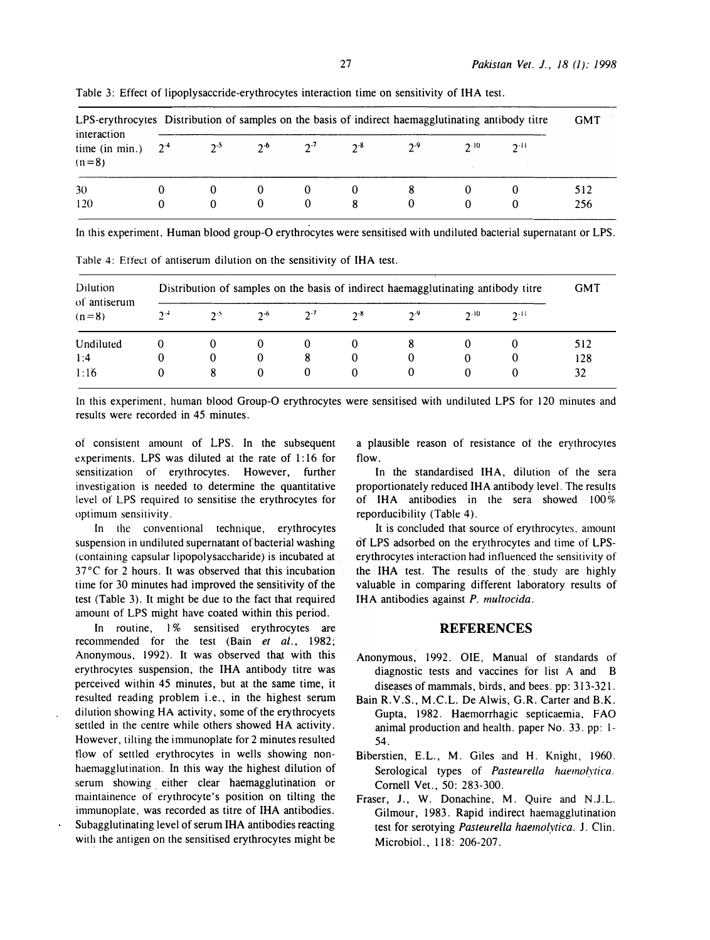| interaction<br>time (in min.) $2^4$<br>$(n=8)$ | LPS-erythrocytes Distribution of samples on the basis of indirect haemagglutinating antibody titre |               |          |          |          |         |          |          |            |
|------------------------------------------------|----------------------------------------------------------------------------------------------------|---------------|----------|----------|----------|---------|----------|----------|------------|
|                                                |                                                                                                    | $2^{-5}$      | $2^{-6}$ | $2^{-7}$ | $2^{-8}$ | $2 - 9$ | $2^{10}$ | $2 - 11$ |            |
| 30<br>120                                      |                                                                                                    | 0<br>$\Omega$ | $\Omega$ | 0<br>0   |          | $_{0}$  |          |          | 512<br>256 |

Table 3: Effect of lipoplysaccride-erythrocytes interaction time on sensitivity of IHA test.

In this experiment, Human blood group-O erythrocytes were sensitised with undiluted bacterial supernatant or LPS.

| Dilution<br>of antiserum<br>$(n=8)$ | Distribution of samples on the basis of indirect haemagglutinating antibody titre |          |          |         |          |          |          |          |     |  |
|-------------------------------------|-----------------------------------------------------------------------------------|----------|----------|---------|----------|----------|----------|----------|-----|--|
|                                     | $2 - 4$                                                                           | $2^{.5}$ | $2^{-6}$ | $2 - 7$ | $2 - 8$  | 2.9      | $2 - 10$ | $2 - 11$ |     |  |
| Undiluted                           |                                                                                   | 0        | $\theta$ | 0       |          | 8        |          |          | 512 |  |
| 1:4                                 |                                                                                   | 0        | 0        | 8       | $\theta$ | 0        | O        |          | 128 |  |
| 1:16                                |                                                                                   | 8        | $\Omega$ | 0       | $\Omega$ | $\theta$ | $\theta$ |          | 32  |  |

Table 4: Effect of antiserum dilution on the sensitivity of IHA test.

In this experiment, human blood Group-O erythrocytes were sensitised with undiluted LPS for 120 minutes and results were recorded in 45 minutes.

of consistent amount of LPS. In the subsequent experiments, LPS was diluted at the rate of 1:16 for sensitization of erythrocytes. However, further investigation is needed to determine the quantitative level of LPS required to sensitise the erythrocytes for optimum sensitivity.

In the conventional technique, erythrocytes suspension in undiluted supernatant of bacterial washing (containing capsular lipopolysaccharide) is incubated at 37°C for 2 hours. It was observed that this incubation time for 30 minutes had improved the sensitivity of the test (Table 3). It might be due to the fact that required amoum of LPS might have coated within this period.

In routine, l% sensitised erythrocytes are recommended for the test (Bain et al., 1982; Anonymous, 1992). It was observed that with this erythrocytes suspension, the IHA antibody titre was perceived within 45 minutes, but at the same time, it resulted reading problem i.e., in the highest serum dilution showing HA activity, some of the erythrocyets settled in the centre while others showed HA activity. However, tilting the immunoplate for 2 minutes resulted tlow of settled erythrocytes in wells showing nonhaemagglutination. In this way the highest dilution of serum showing either clear haemagglutination or maintainence of erythrocyte's position on tilting the immunoplate, was recorded as titre of IHA antibodies. Subagglutinating level of serum IHA antibodies reacting with the antigen on the sensitised erythrocytes might be a plausible reason of resistance of the erythrocytes flow.

In the standardised IHA, dilution of the sera proportionately reduced IHA antibody level. The results of IHA antibodies in the sera showed  $100\%$ reporducibility (Table 4).

It is concluded that source of erythrocytes, amount ofLPS adsorbed on the erythrocytes and time of LPSerythrocytes interaction had influenced the sensitivity of the IHA test. The results of the, study are highly valuable in comparing different laboratory results of IHA antibodies against P. multocida.

## REFERENCES

- Anonymous, 1992. OlE, Manual of standards of diagnostic tests and vaccines for list A and B diseases of mammals, birds, and bees. pp: 313-321.
- Bain R.V.S., M.C.L. De Alwis, G.R. Carter and B.K. Gupta, 1982. Haemorrhagic septicaemia, FAO animal production and health. paper No. 33. pp: I-54.
- Biberstien, E.L., M. Giles and H. Knight, 1960. Serological types of Pasteurella haemolytica. Cornell Vet., 50: 283-300.
- Fraser, J., W. Donachine, M. Quire and N.J.L. Gilmour, 1983. Rapid indirect haemagglutination test for serotying Pasteurella haemolytica. J. Clin. Microbial., 118: 206-207.